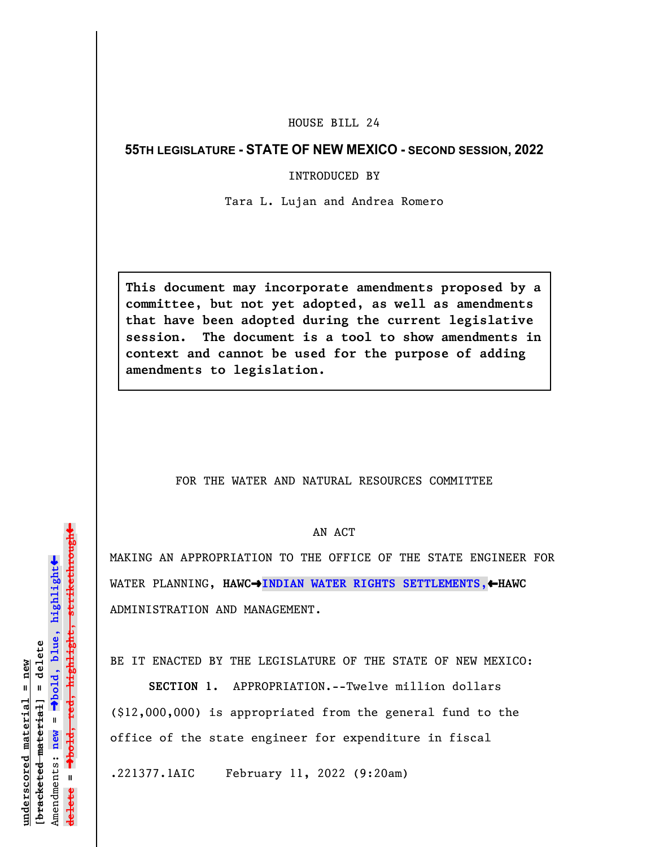## HOUSE BILL 24

## **55TH LEGISLATURE - STATE OF NEW MEXICO - SECOND SESSION, 2022**

## INTRODUCED BY

Tara L. Lujan and Andrea Romero

**This document may incorporate amendments proposed by a committee, but not yet adopted, as well as amendments that have been adopted during the current legislative session. The document is a tool to show amendments in context and cannot be used for the purpose of adding amendments to legislation.**

## FOR THE WATER AND NATURAL RESOURCES COMMITTEE

AN ACT

MAKING AN APPROPRIATION TO THE OFFICE OF THE STATE ENGINEER FOR WATER PLANNING, HAWC $\rightarrow$ INDIAN WATER RIGHTS SETTLEMENTS,  $\leftarrow$ HAWC ADMINISTRATION AND MANAGEMENT.

BE IT ENACTED BY THE LEGISLATURE OF THE STATE OF NEW MEXICO:

**SECTION 1.** APPROPRIATION.--Twelve million dollars (\$12,000,000) is appropriated from the general fund to the office of the state engineer for expenditure in fiscal

.221377.1AIC February 11, 2022 (9:20am)